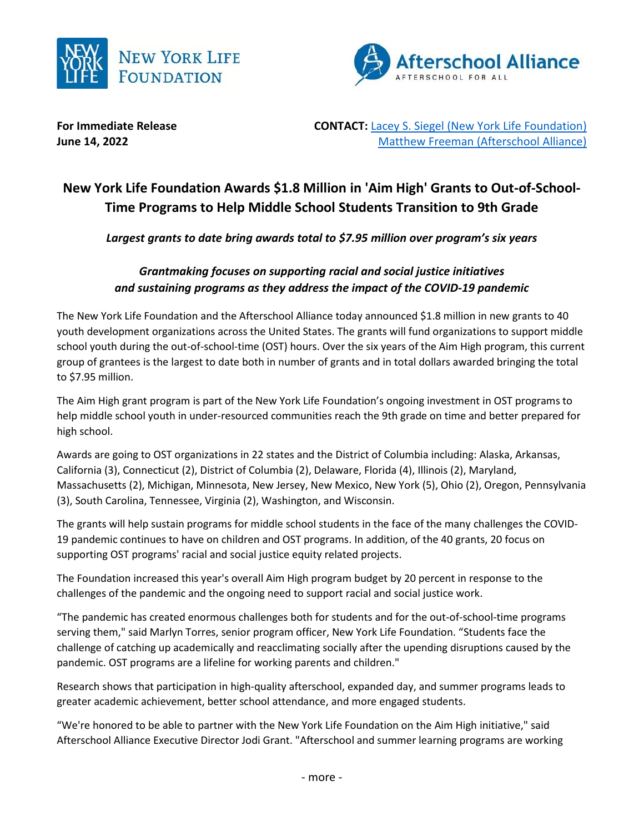



**For Immediate Release The CONTACT: [Lacey S. Siegel \(New York Life Foundation\)](mailto:lacey_s_siegel@newyorklife.com?subject=New%20York%20Life%20Fdtn/Afterschool%20Alliance) June 14, 2022** [Matthew Freeman \(Afterschool Alliance\)](mailto:matt@prsolutionsdc.com?subject=New%20York%20Life%20Fdtn/Afterschool%20Alliance)

# **New York Life Foundation Awards \$1.8 Million in 'Aim High' Grants to Out-of-School-Time Programs to Help Middle School Students Transition to 9th Grade**

*Largest grants to date bring awards total to \$7.95 million over program's six years*

## *Grantmaking focuses on supporting racial and social justice initiatives and sustaining programs as they address the impact of the COVID-19 pandemic*

The New York Life Foundation and the Afterschool Alliance today announced \$1.8 million in new grants to 40 youth development organizations across the United States. The grants will fund organizations to support middle school youth during the out-of-school-time (OST) hours. Over the six years of the Aim High program, this current group of grantees is the largest to date both in number of grants and in total dollars awarded bringing the total to \$7.95 million.

The Aim High grant program is part of the New York Life Foundation's ongoing investment in OST programs to help middle school youth in under-resourced communities reach the 9th grade on time and better prepared for high school.

Awards are going to OST organizations in 22 states and the District of Columbia including: Alaska, Arkansas, California (3), Connecticut (2), District of Columbia (2), Delaware, Florida (4), Illinois (2), Maryland, Massachusetts (2), Michigan, Minnesota, New Jersey, New Mexico, New York (5), Ohio (2), Oregon, Pennsylvania (3), South Carolina, Tennessee, Virginia (2), Washington, and Wisconsin.

The grants will help sustain programs for middle school students in the face of the many challenges the COVID-19 pandemic continues to have on children and OST programs. In addition, of the 40 grants, 20 focus on supporting OST programs' racial and social justice equity related projects.

The Foundation increased this year's overall Aim High program budget by 20 percent in response to the challenges of the pandemic and the ongoing need to support racial and social justice work.

"The pandemic has created enormous challenges both for students and for the out-of-school-time programs serving them," said Marlyn Torres, senior program officer, New York Life Foundation. "Students face the challenge of catching up academically and reacclimating socially after the upending disruptions caused by the pandemic. OST programs are a lifeline for working parents and children."

Research shows that participation in high-quality afterschool, expanded day, and summer programs leads to greater academic achievement, better school attendance, and more engaged students.

"We're honored to be able to partner with the New York Life Foundation on the Aim High initiative," said Afterschool Alliance Executive Director Jodi Grant. "Afterschool and summer learning programs are working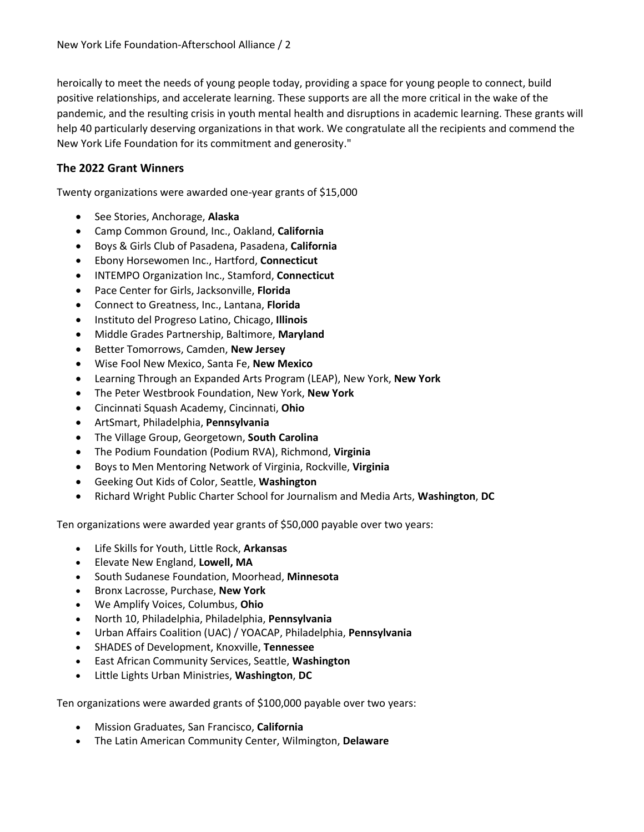heroically to meet the needs of young people today, providing a space for young people to connect, build positive relationships, and accelerate learning. These supports are all the more critical in the wake of the pandemic, and the resulting crisis in youth mental health and disruptions in academic learning. These grants will help 40 particularly deserving organizations in that work. We congratulate all the recipients and commend the New York Life Foundation for its commitment and generosity."

### **The 2022 Grant Winners**

Twenty organizations were awarded one-year grants of \$15,000

- See Stories, Anchorage, **Alaska**
- Camp Common Ground, Inc., Oakland, **California**
- Boys & Girls Club of Pasadena, Pasadena, **California**
- Ebony Horsewomen Inc., Hartford, **Connecticut**
- INTEMPO Organization Inc., Stamford, **Connecticut**
- Pace Center for Girls, Jacksonville, **Florida**
- Connect to Greatness, Inc., Lantana, **Florida**
- Instituto del Progreso Latino, Chicago, **Illinois**
- Middle Grades Partnership, Baltimore, **Maryland**
- Better Tomorrows, Camden, **New Jersey**
- Wise Fool New Mexico, Santa Fe, **New Mexico**
- Learning Through an Expanded Arts Program (LEAP), New York, **New York**
- The Peter Westbrook Foundation, New York, **New York**
- Cincinnati Squash Academy, Cincinnati, **Ohio**
- ArtSmart, Philadelphia, **Pennsylvania**
- The Village Group, Georgetown, **South Carolina**
- The Podium Foundation (Podium RVA), Richmond, **Virginia**
- Boys to Men Mentoring Network of Virginia, Rockville, **Virginia**
- Geeking Out Kids of Color, Seattle, **Washington**
- Richard Wright Public Charter School for Journalism and Media Arts, **Washington**, **DC**

Ten organizations were awarded year grants of \$50,000 payable over two years:

- Life Skills for Youth, Little Rock, **Arkansas**
- Elevate New England, **Lowell, MA**
- South Sudanese Foundation, Moorhead, **Minnesota**
- Bronx Lacrosse, Purchase, **New York**
- We Amplify Voices, Columbus, **Ohio**
- North 10, Philadelphia, Philadelphia, **Pennsylvania**
- Urban Affairs Coalition (UAC) / YOACAP, Philadelphia, **Pennsylvania**
- SHADES of Development, Knoxville, **Tennessee**
- East African Community Services, Seattle, **Washington**
- Little Lights Urban Ministries, **Washington**, **DC**

Ten organizations were awarded grants of \$100,000 payable over two years:

- Mission Graduates, San Francisco, **California**
- The Latin American Community Center, Wilmington, **Delaware**